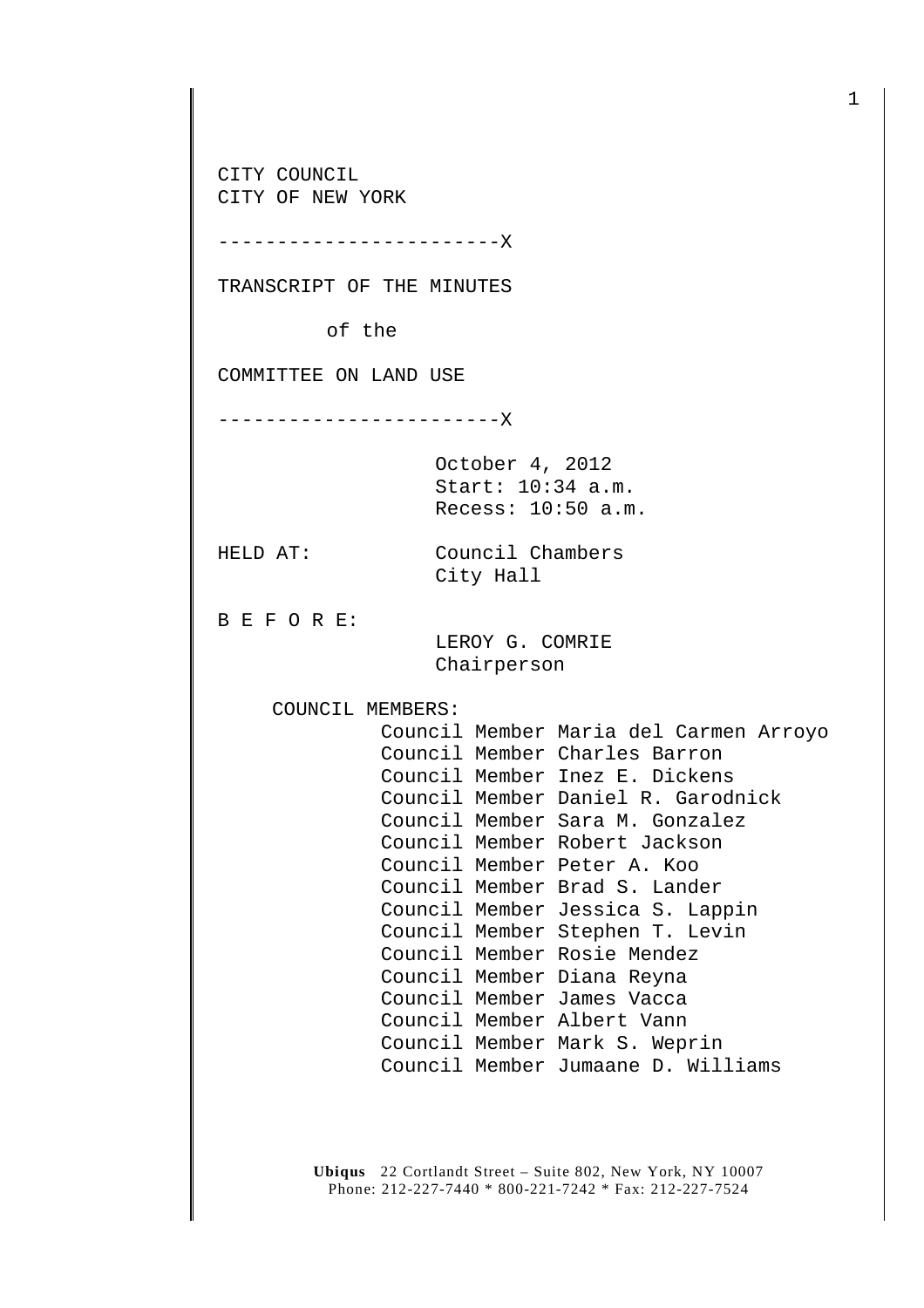**Ubiqus** 22 Cortlandt Street – Suite 802, New York, NY 10007 Phone: 212-227-7440 \* 800-221-7242 \* Fax: 212-227-7524 CITY COUNCIL CITY OF NEW YORK ------------------------X TRANSCRIPT OF THE MINUTES of the COMMITTEE ON LAND USE ------------------------X October 4, 2012 Start: 10:34 a.m. Recess: 10:50 a.m. HELD AT: Council Chambers City Hall B E F O R E: LEROY G. COMRIE Chairperson COUNCIL MEMBERS: Council Member Maria del Carmen Arroyo Council Member Charles Barron Council Member Inez E. Dickens Council Member Daniel R. Garodnick Council Member Sara M. Gonzalez Council Member Robert Jackson Council Member Peter A. Koo Council Member Brad S. Lander Council Member Jessica S. Lappin Council Member Stephen T. Levin Council Member Rosie Mendez Council Member Diana Reyna Council Member James Vacca Council Member Albert Vann Council Member Mark S. Weprin Council Member Jumaane D. Williams

1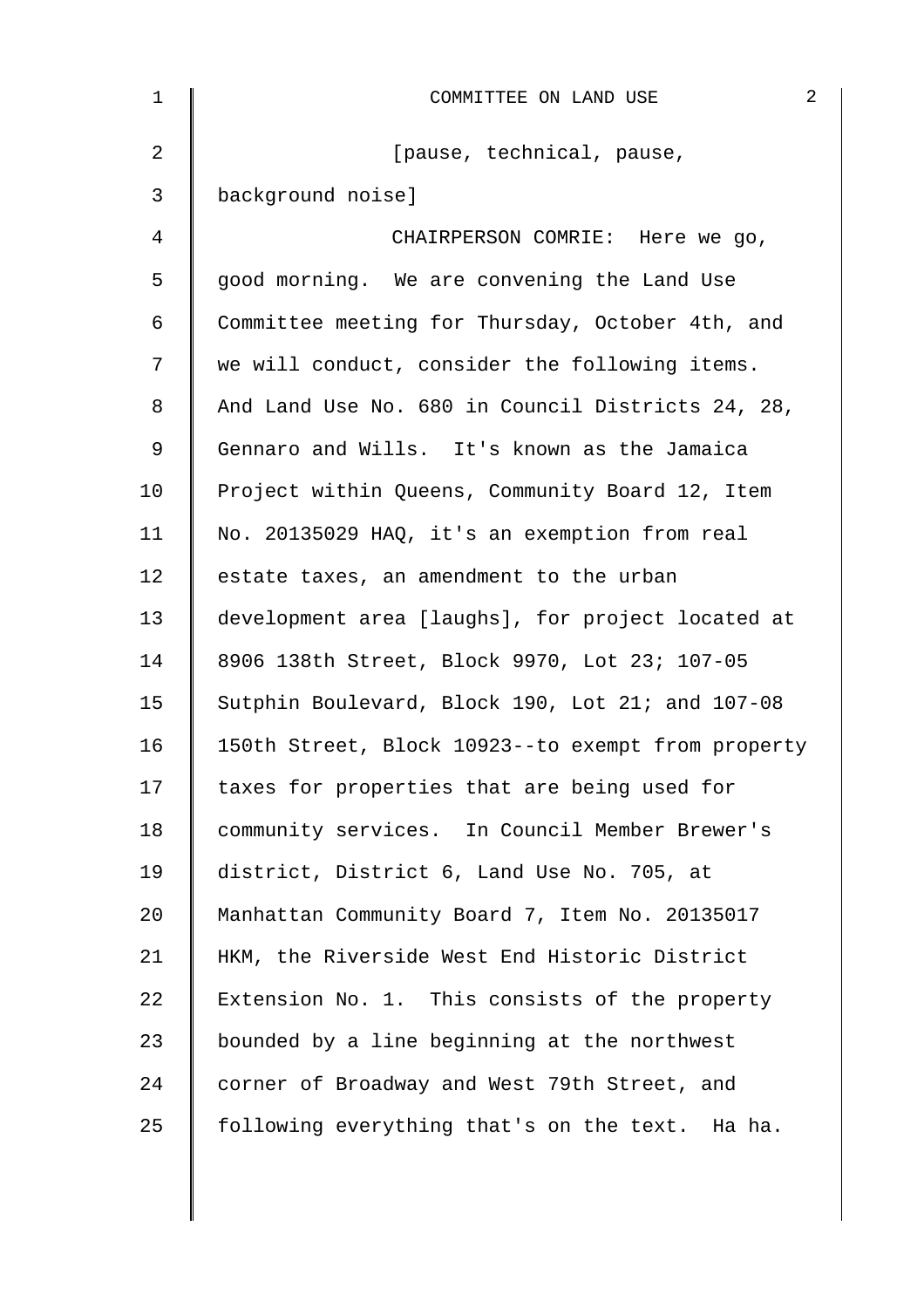| $\mathbf{1}$ | COMMITTEE ON LAND USE                              | 2 |
|--------------|----------------------------------------------------|---|
| 2            | [pause, technical, pause,                          |   |
| 3            | background noise]                                  |   |
| 4            | CHAIRPERSON COMRIE: Here we go,                    |   |
| 5            | good morning. We are convening the Land Use        |   |
| 6            | Committee meeting for Thursday, October 4th, and   |   |
| 7            | we will conduct, consider the following items.     |   |
| 8            | And Land Use No. 680 in Council Districts 24, 28,  |   |
| 9            | Gennaro and Wills. It's known as the Jamaica       |   |
| 10           | Project within Queens, Community Board 12, Item    |   |
| 11           | No. 20135029 HAQ, it's an exemption from real      |   |
| 12           | estate taxes, an amendment to the urban            |   |
| 13           | development area [laughs], for project located at  |   |
| 14           | 8906 138th Street, Block 9970, Lot 23; 107-05      |   |
| 15           | Sutphin Boulevard, Block 190, Lot 21; and 107-08   |   |
| 16           | 150th Street, Block 10923--to exempt from property |   |
| 17           | taxes for properties that are being used for       |   |
| 18           | community services. In Council Member Brewer's     |   |
| 19           | district, District 6, Land Use No. 705, at         |   |
| 20           | Manhattan Community Board 7, Item No. 20135017     |   |
| 21           | HKM, the Riverside West End Historic District      |   |
| 22           | Extension No. 1. This consists of the property     |   |
| 23           | bounded by a line beginning at the northwest       |   |
| 24           | corner of Broadway and West 79th Street, and       |   |
| 25           | following everything that's on the text. Ha ha.    |   |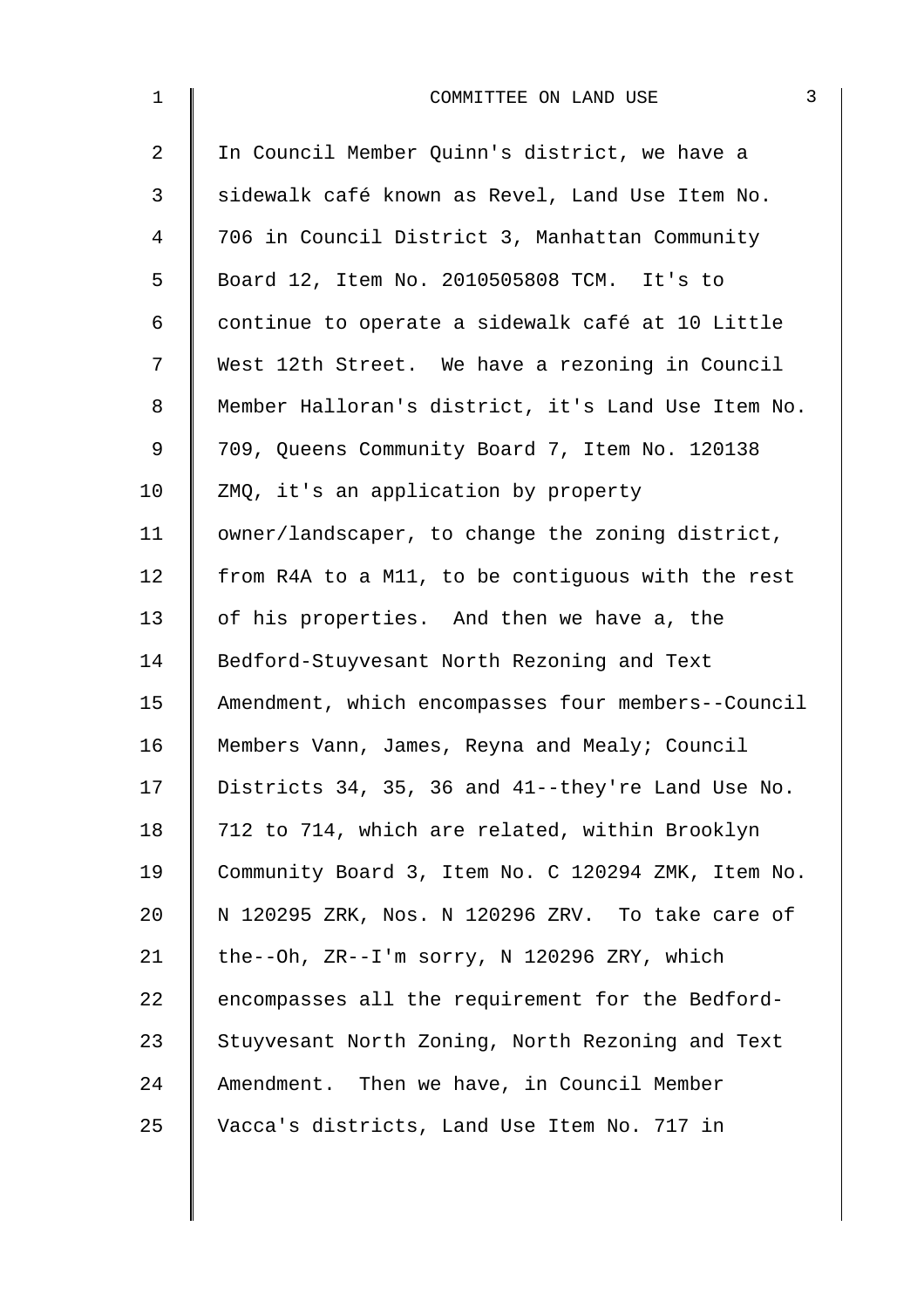| $\mathbf 1$    | 3<br>COMMITTEE ON LAND USE                         |
|----------------|----------------------------------------------------|
| $\overline{2}$ | In Council Member Quinn's district, we have a      |
| 3              | sidewalk café known as Revel, Land Use Item No.    |
| 4              | 706 in Council District 3, Manhattan Community     |
| 5              | Board 12, Item No. 2010505808 TCM. It's to         |
| 6              | continue to operate a sidewalk café at 10 Little   |
| 7              | West 12th Street. We have a rezoning in Council    |
| 8              | Member Halloran's district, it's Land Use Item No. |
| $\mathsf 9$    | 709, Queens Community Board 7, Item No. 120138     |
| 10             | ZMQ, it's an application by property               |
| 11             | owner/landscaper, to change the zoning district,   |
| 12             | from R4A to a M11, to be contiguous with the rest  |
| 13             | of his properties. And then we have a, the         |
| 14             | Bedford-Stuyvesant North Rezoning and Text         |
| 15             | Amendment, which encompasses four members--Council |
| 16             | Members Vann, James, Reyna and Mealy; Council      |
| 17             | Districts 34, 35, 36 and 41--they're Land Use No.  |
| 18             | 712 to 714, which are related, within Brooklyn     |
| 19             | Community Board 3, Item No. C 120294 ZMK, Item No. |
| 20             | N 120295 ZRK, Nos. N 120296 ZRV. To take care of   |
| 21             | the--Oh, ZR--I'm sorry, N 120296 ZRY, which        |
| 22             | encompasses all the requirement for the Bedford-   |
| 23             | Stuyvesant North Zoning, North Rezoning and Text   |
| 24             | Amendment. Then we have, in Council Member         |
| 25             | Vacca's districts, Land Use Item No. 717 in        |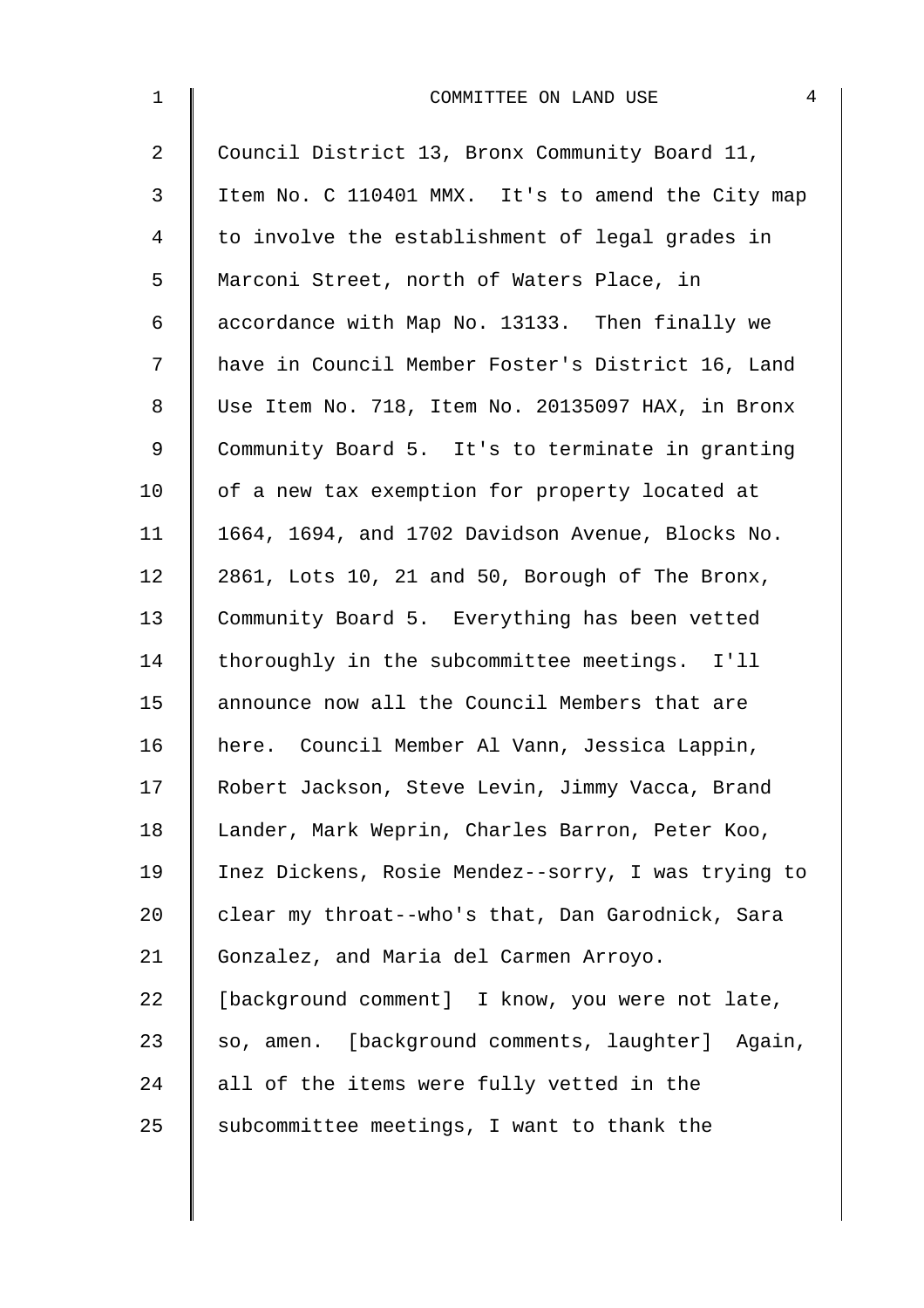| $\mathbf{1}$   | 4<br>COMMITTEE ON LAND USE                         |
|----------------|----------------------------------------------------|
| $\overline{2}$ | Council District 13, Bronx Community Board 11,     |
| 3              | Item No. C 110401 MMX. It's to amend the City map  |
| 4              | to involve the establishment of legal grades in    |
| 5              | Marconi Street, north of Waters Place, in          |
| 6              | accordance with Map No. 13133. Then finally we     |
| 7              | have in Council Member Foster's District 16, Land  |
| 8              | Use Item No. 718, Item No. 20135097 HAX, in Bronx  |
| 9              | Community Board 5. It's to terminate in granting   |
| 10             | of a new tax exemption for property located at     |
| 11             | 1664, 1694, and 1702 Davidson Avenue, Blocks No.   |
| 12             | 2861, Lots 10, 21 and 50, Borough of The Bronx,    |
| 13             | Community Board 5. Everything has been vetted      |
| 14             | thoroughly in the subcommittee meetings. I'll      |
| 15             | announce now all the Council Members that are      |
| 16             | here. Council Member Al Vann, Jessica Lappin,      |
| 17             | Robert Jackson, Steve Levin, Jimmy Vacca, Brand    |
| 18             | Lander, Mark Weprin, Charles Barron, Peter Koo,    |
| 19             | Inez Dickens, Rosie Mendez--sorry, I was trying to |
| 20             | clear my throat--who's that, Dan Garodnick, Sara   |
| 21             | Gonzalez, and Maria del Carmen Arroyo.             |
| 22             | [background comment] I know, you were not late,    |
| 23             | so, amen. [background comments, laughter] Again,   |
| 24             | all of the items were fully vetted in the          |
| 25             | subcommittee meetings, I want to thank the         |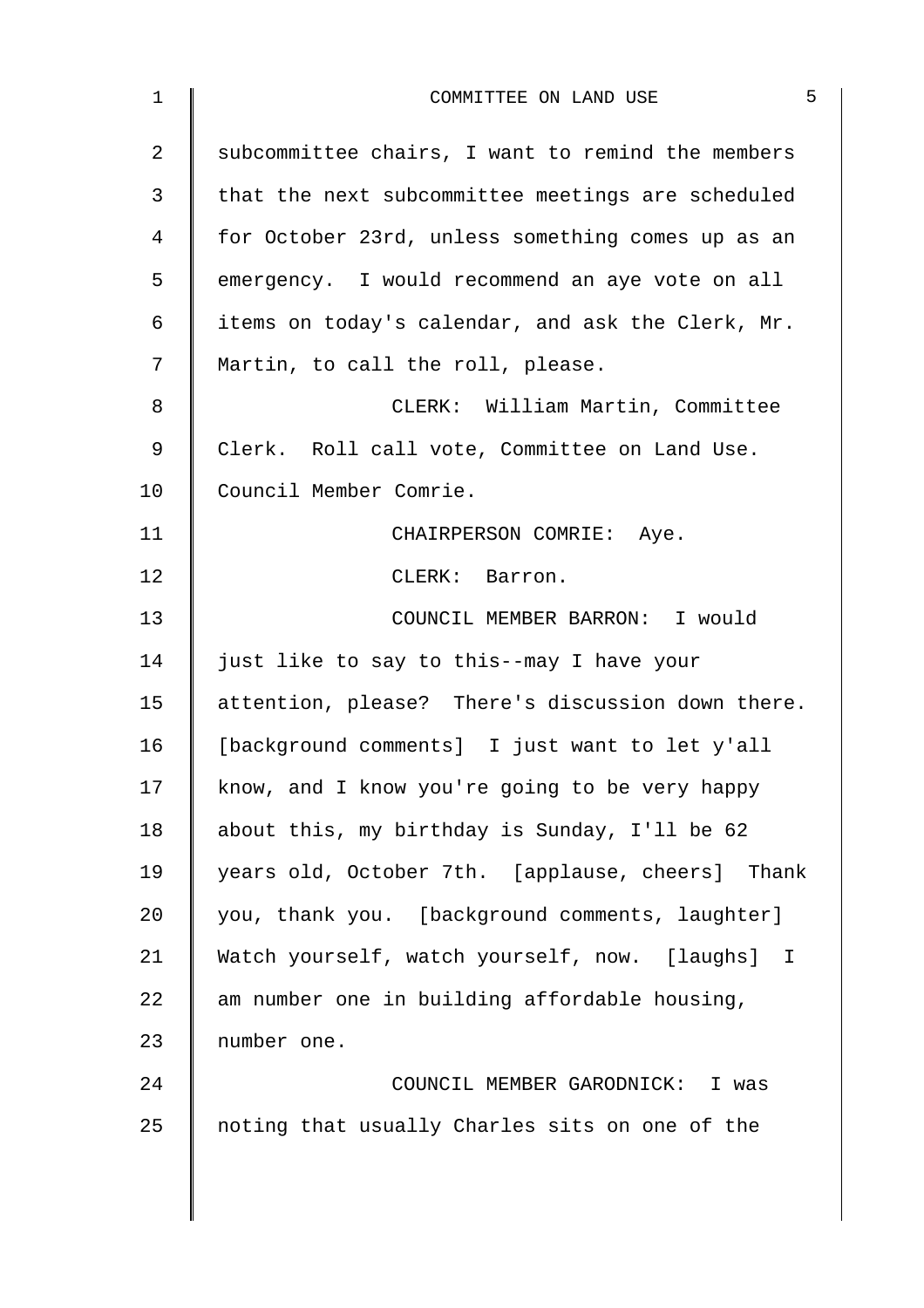| $\mathbf 1$    | 5<br>COMMITTEE ON LAND USE                        |
|----------------|---------------------------------------------------|
| $\overline{2}$ | subcommittee chairs, I want to remind the members |
| 3              | that the next subcommittee meetings are scheduled |
| 4              | for October 23rd, unless something comes up as an |
| 5              | emergency. I would recommend an aye vote on all   |
| 6              | items on today's calendar, and ask the Clerk, Mr. |
| 7              | Martin, to call the roll, please.                 |
| 8              | CLERK: William Martin, Committee                  |
| 9              | Clerk. Roll call vote, Committee on Land Use.     |
| 10             | Council Member Comrie.                            |
| 11             | CHAIRPERSON COMRIE: Aye.                          |
| 12             | CLERK: Barron.                                    |
| 13             | COUNCIL MEMBER BARRON: I would                    |
| 14             | just like to say to this--may I have your         |
| 15             | attention, please? There's discussion down there. |
| 16             | [background comments] I just want to let y'all    |
| 17             | know, and I know you're going to be very happy    |
| 18             | about this, my birthday is Sunday, I'll be 62     |
| 19             | years old, October 7th. [applause, cheers] Thank  |
| 20             | you, thank you. [background comments, laughter]   |
| 21             | Watch yourself, watch yourself, now. [laughs] I   |
| 22             | am number one in building affordable housing,     |
| 23             | number one.                                       |
| 24             | COUNCIL MEMBER GARODNICK: I was                   |
| 25             | noting that usually Charles sits on one of the    |
|                |                                                   |
|                |                                                   |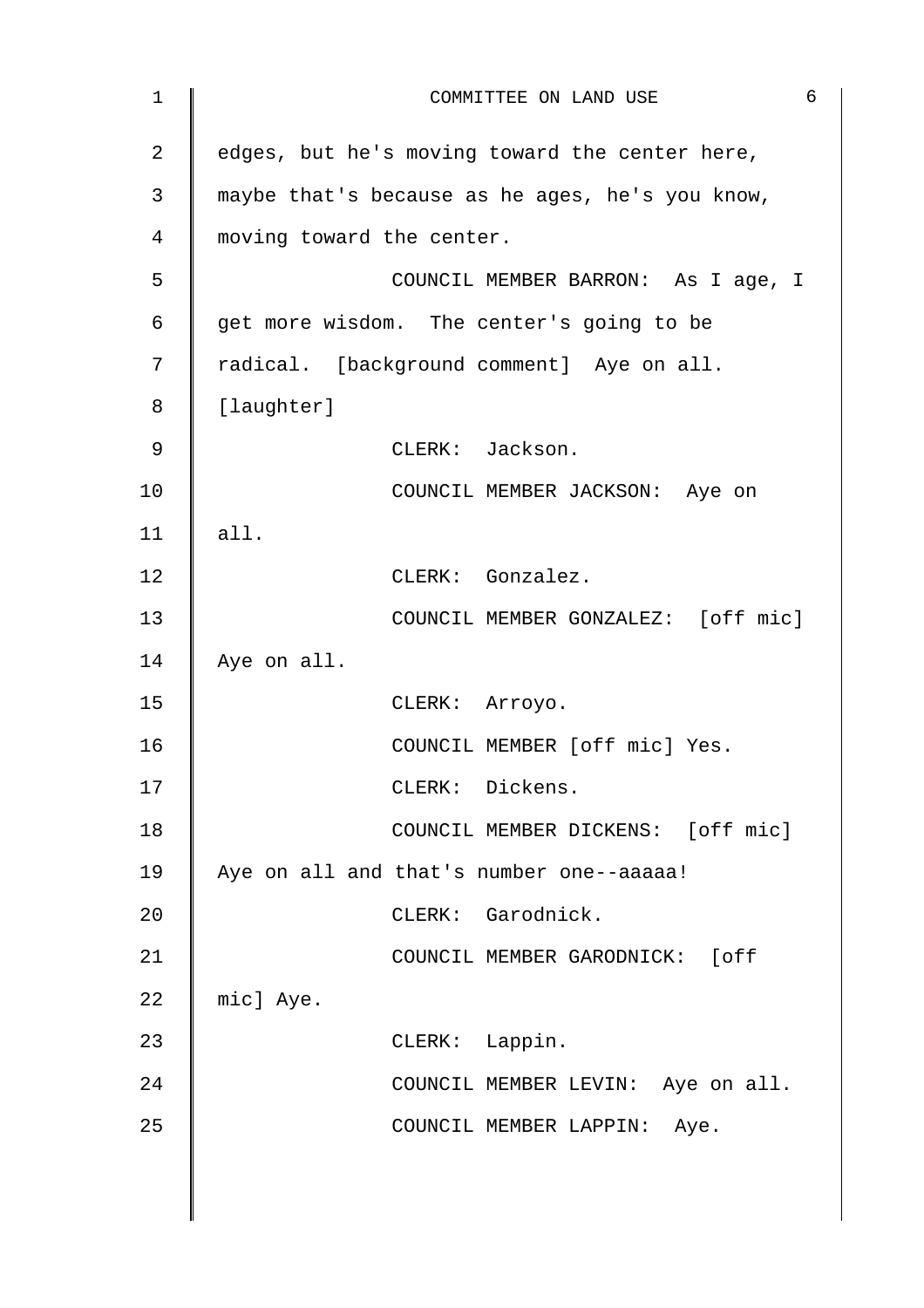| $\mathbf{1}$ | 6<br>COMMITTEE ON LAND USE                      |
|--------------|-------------------------------------------------|
| 2            | edges, but he's moving toward the center here,  |
| 3            | maybe that's because as he ages, he's you know, |
| 4            | moving toward the center.                       |
| 5            | COUNCIL MEMBER BARRON: As I age, I              |
| 6            | get more wisdom. The center's going to be       |
| 7            | radical. [background comment] Aye on all.       |
| 8            | [laughter]                                      |
| 9            | CLERK: Jackson.                                 |
| 10           | COUNCIL MEMBER JACKSON: Aye on                  |
| 11           | all.                                            |
| 12           | CLERK: Gonzalez.                                |
| 13           | COUNCIL MEMBER GONZALEZ: [off mic]              |
| 14           | Aye on all.                                     |
| 15           | CLERK: Arroyo.                                  |
| 16           | COUNCIL MEMBER [off mic] Yes.                   |
| 17           | CLERK: Dickens.                                 |
| 18           | COUNCIL MEMBER DICKENS: [off mic]               |
| 19           | Aye on all and that's number one--aaaaa!        |
| 20           | CLERK: Garodnick.                               |
| 21           | COUNCIL MEMBER GARODNICK: [off                  |
| 22           | mic] Aye.                                       |
| 23           | CLERK: Lappin.                                  |
| 24           | COUNCIL MEMBER LEVIN: Aye on all.               |
| 25           | COUNCIL MEMBER LAPPIN: Aye.                     |
|              |                                                 |
|              |                                                 |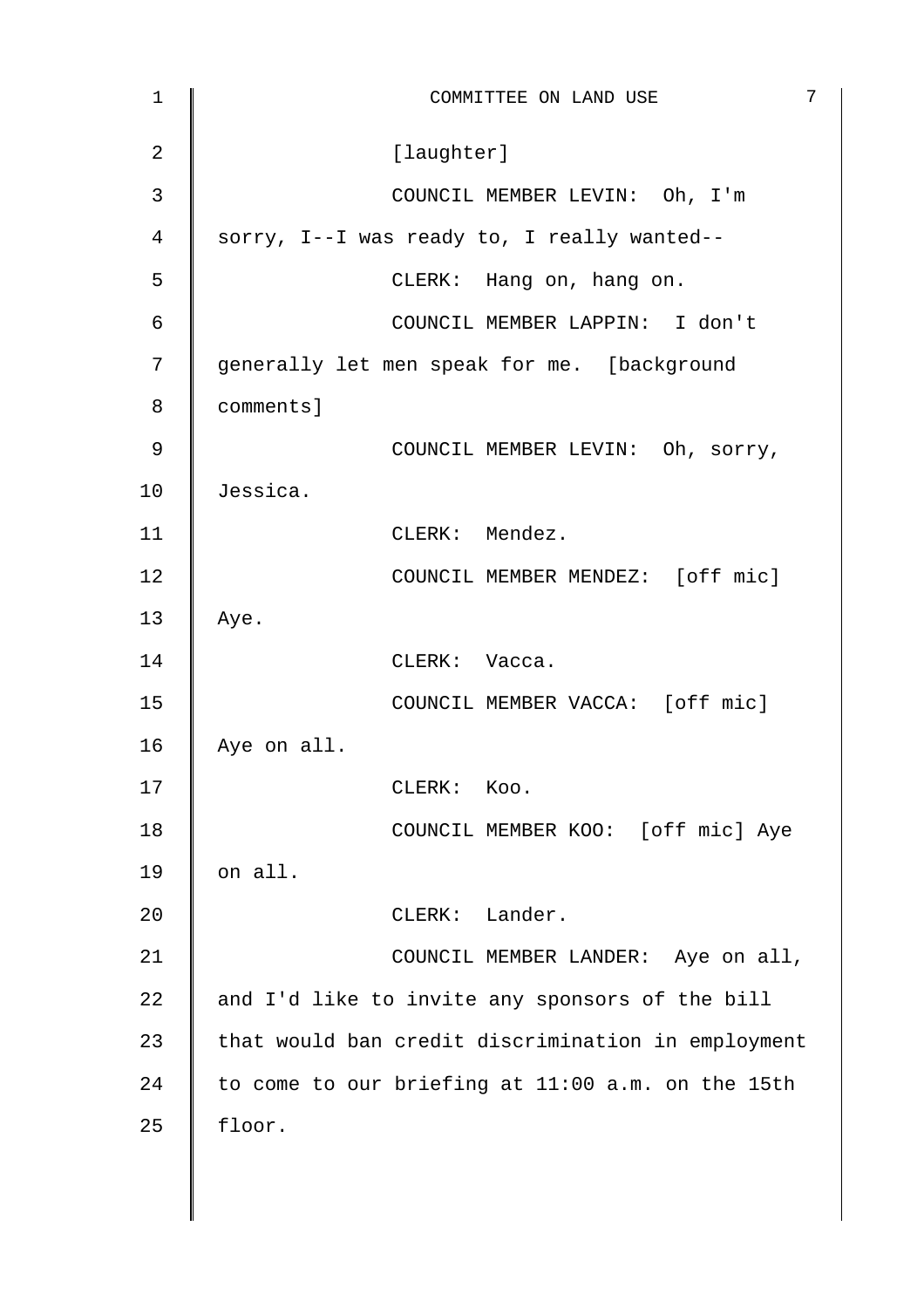| 1            | 7<br>COMMITTEE ON LAND USE                         |
|--------------|----------------------------------------------------|
| 2            | [laughter]                                         |
| $\mathbf{3}$ | COUNCIL MEMBER LEVIN: Oh, I'm                      |
| 4            | sorry, I--I was ready to, I really wanted--        |
| 5            | CLERK: Hang on, hang on.                           |
| 6            | COUNCIL MEMBER LAPPIN: I don't                     |
| 7            | generally let men speak for me. [background        |
| 8            | comments]                                          |
| 9            | COUNCIL MEMBER LEVIN: Oh, sorry,                   |
| 10           | Jessica.                                           |
| 11           | CLERK: Mendez.                                     |
| 12           | COUNCIL MEMBER MENDEZ: [off mic]                   |
| 13           | Aye.                                               |
| 14           | CLERK: Vacca.                                      |
| 15           | COUNCIL MEMBER VACCA: [off mic]                    |
| 16           | Aye on all.                                        |
| 17           | ${\tt CLERK:}$<br>Koo.                             |
| 18           | COUNCIL MEMBER KOO: [off mic] Aye                  |
| 19           | on all.                                            |
| 20           | CLERK: Lander.                                     |
| 21           | COUNCIL MEMBER LANDER: Aye on all,                 |
| 22           | and I'd like to invite any sponsors of the bill    |
| 23           | that would ban credit discrimination in employment |
| 24           | to come to our briefing at 11:00 a.m. on the 15th  |
| 25           | floor.                                             |
|              |                                                    |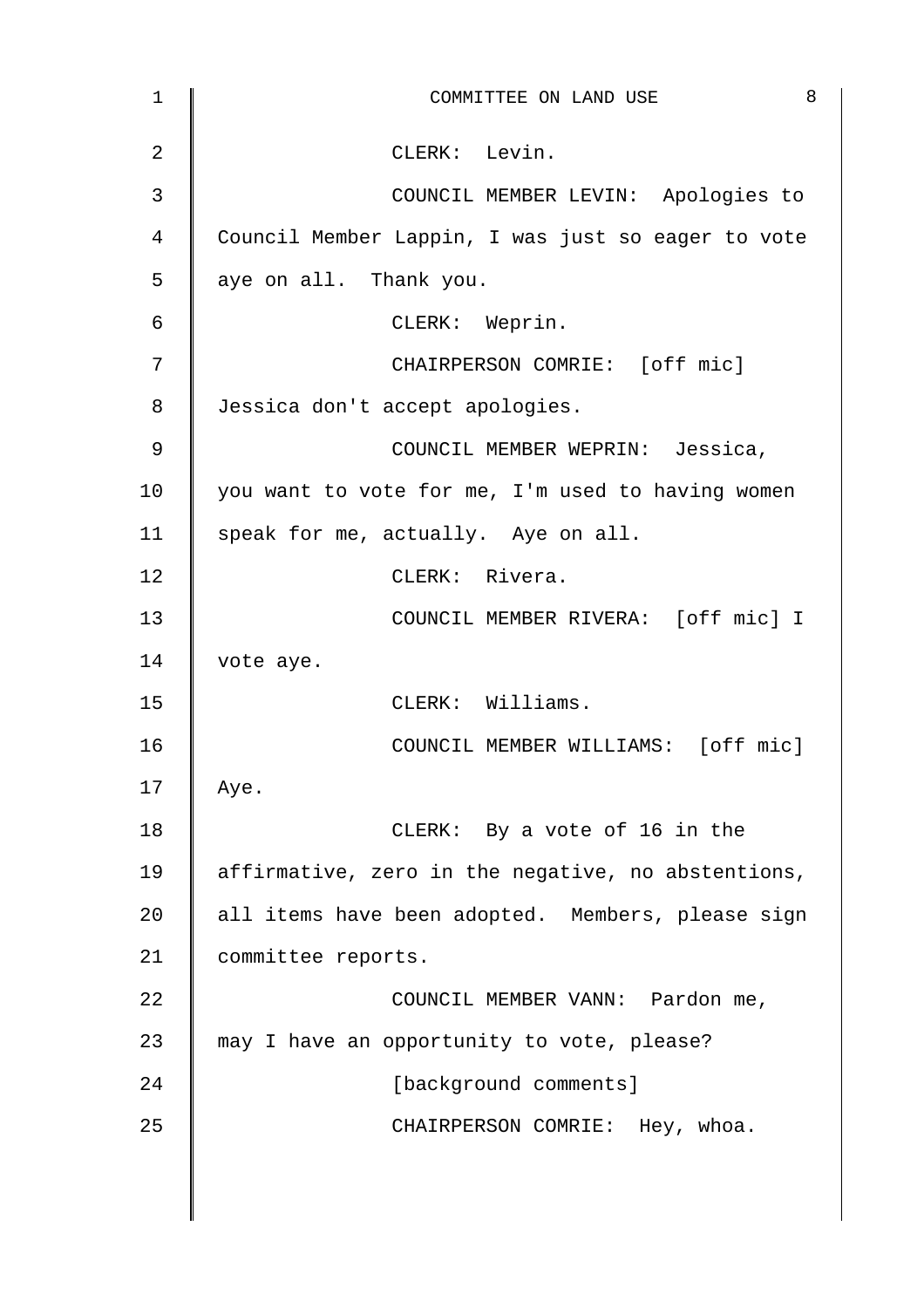| 1  | 8<br>COMMITTEE ON LAND USE                         |
|----|----------------------------------------------------|
| 2  | CLERK: Levin.                                      |
| 3  | COUNCIL MEMBER LEVIN: Apologies to                 |
| 4  | Council Member Lappin, I was just so eager to vote |
| 5  | aye on all. Thank you.                             |
| 6  | CLERK: Weprin.                                     |
| 7  | CHAIRPERSON COMRIE: [off mic]                      |
| 8  | Jessica don't accept apologies.                    |
| 9  | COUNCIL MEMBER WEPRIN: Jessica,                    |
| 10 | you want to vote for me, I'm used to having women  |
| 11 | speak for me, actually. Aye on all.                |
| 12 | CLERK: Rivera.                                     |
| 13 | COUNCIL MEMBER RIVERA: [off mic] I                 |
| 14 | vote aye.                                          |
| 15 | CLERK: Williams.                                   |
| 16 | COUNCIL MEMBER WILLIAMS: [off mic]                 |
| 17 | Aye.                                               |
| 18 | CLERK: By a vote of 16 in the                      |
| 19 | affirmative, zero in the negative, no abstentions, |
| 20 | all items have been adopted. Members, please sign  |
| 21 | committee reports.                                 |
| 22 | COUNCIL MEMBER VANN: Pardon me,                    |
| 23 | may I have an opportunity to vote, please?         |
| 24 | [background comments]                              |
| 25 | CHAIRPERSON COMRIE: Hey, whoa.                     |
|    |                                                    |
|    |                                                    |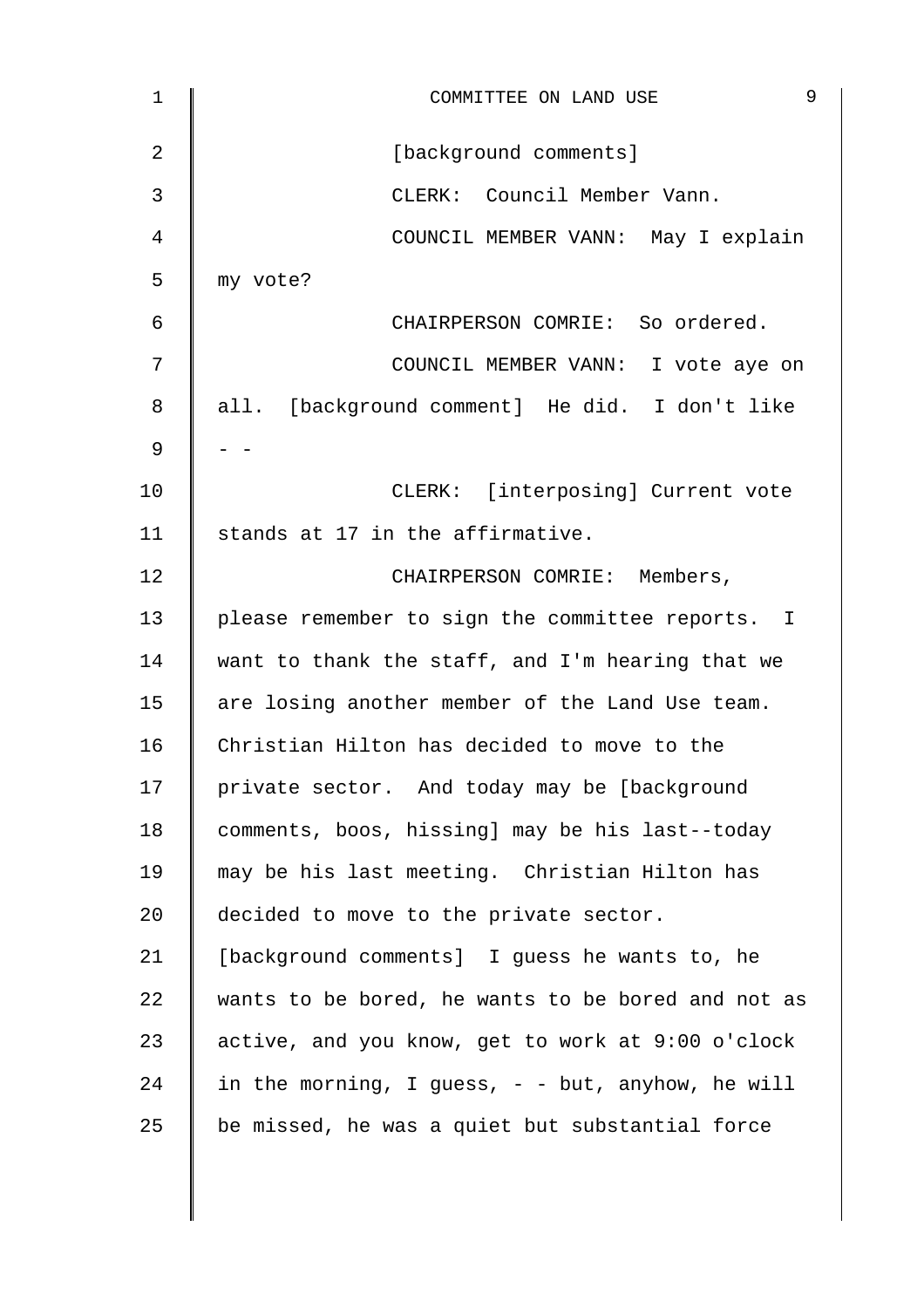| $\mathbf 1$ | 9<br>COMMITTEE ON LAND USE                         |
|-------------|----------------------------------------------------|
| 2           | [background comments]                              |
| 3           | CLERK: Council Member Vann.                        |
| 4           | COUNCIL MEMBER VANN: May I explain                 |
| 5           | my vote?                                           |
| 6           | CHAIRPERSON COMRIE: So ordered.                    |
| 7           | COUNCIL MEMBER VANN: I vote aye on                 |
| 8           | all. [background comment] He did. I don't like     |
| 9           |                                                    |
| 10          | CLERK: [interposing] Current vote                  |
| 11          | stands at 17 in the affirmative.                   |
| 12          | CHAIRPERSON COMRIE: Members,                       |
| 13          | please remember to sign the committee reports. I   |
| 14          | want to thank the staff, and I'm hearing that we   |
| 15          | are losing another member of the Land Use team.    |
| 16          | Christian Hilton has decided to move to the        |
| 17          | private sector. And today may be [background       |
| 18          | comments, boos, hissing] may be his last--today    |
| 19          | may be his last meeting. Christian Hilton has      |
| 20          | decided to move to the private sector.             |
| 21          | [background comments] I guess he wants to, he      |
| 22          | wants to be bored, he wants to be bored and not as |
| 23          | active, and you know, get to work at 9:00 o'clock  |
| 24          | in the morning, I guess, - - but, anyhow, he will  |
| 25          | be missed, he was a quiet but substantial force    |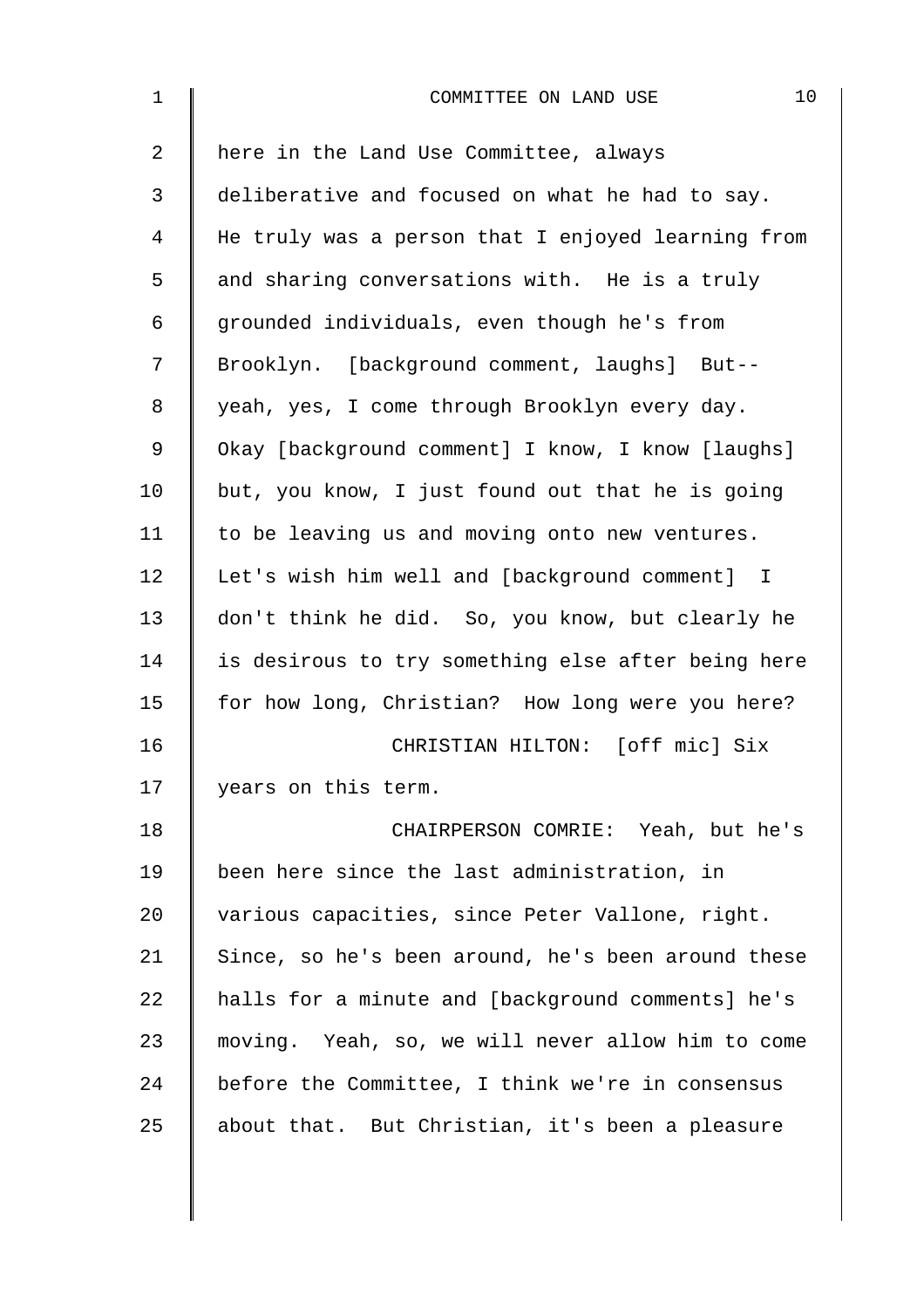| $\mathbf 1$    | 10<br>COMMITTEE ON LAND USE                        |
|----------------|----------------------------------------------------|
| $\overline{2}$ | here in the Land Use Committee, always             |
| 3              | deliberative and focused on what he had to say.    |
| 4              | He truly was a person that I enjoyed learning from |
| 5              | and sharing conversations with. He is a truly      |
| 6              | grounded individuals, even though he's from        |
| 7              | Brooklyn. [background comment, laughs] But--       |
| 8              | yeah, yes, I come through Brooklyn every day.      |
| 9              | Okay [background comment] I know, I know [laughs]  |
| 10             | but, you know, I just found out that he is going   |
| 11             | to be leaving us and moving onto new ventures.     |
| 12             | Let's wish him well and [background comment] I     |
| 13             | don't think he did. So, you know, but clearly he   |
| 14             | is desirous to try something else after being here |
| 15             | for how long, Christian? How long were you here?   |
| 16             | CHRISTIAN HILTON: [off mic] Six                    |
| 17             | years on this term.                                |
| 18             | CHAIRPERSON COMRIE: Yeah, but he's                 |
| 19             | been here since the last administration, in        |
| 20             | various capacities, since Peter Vallone, right.    |
| 21             | Since, so he's been around, he's been around these |
| 22             | halls for a minute and [background comments] he's  |
| 23             | moving. Yeah, so, we will never allow him to come  |
| 24             | before the Committee, I think we're in consensus   |
| 25             | about that. But Christian, it's been a pleasure    |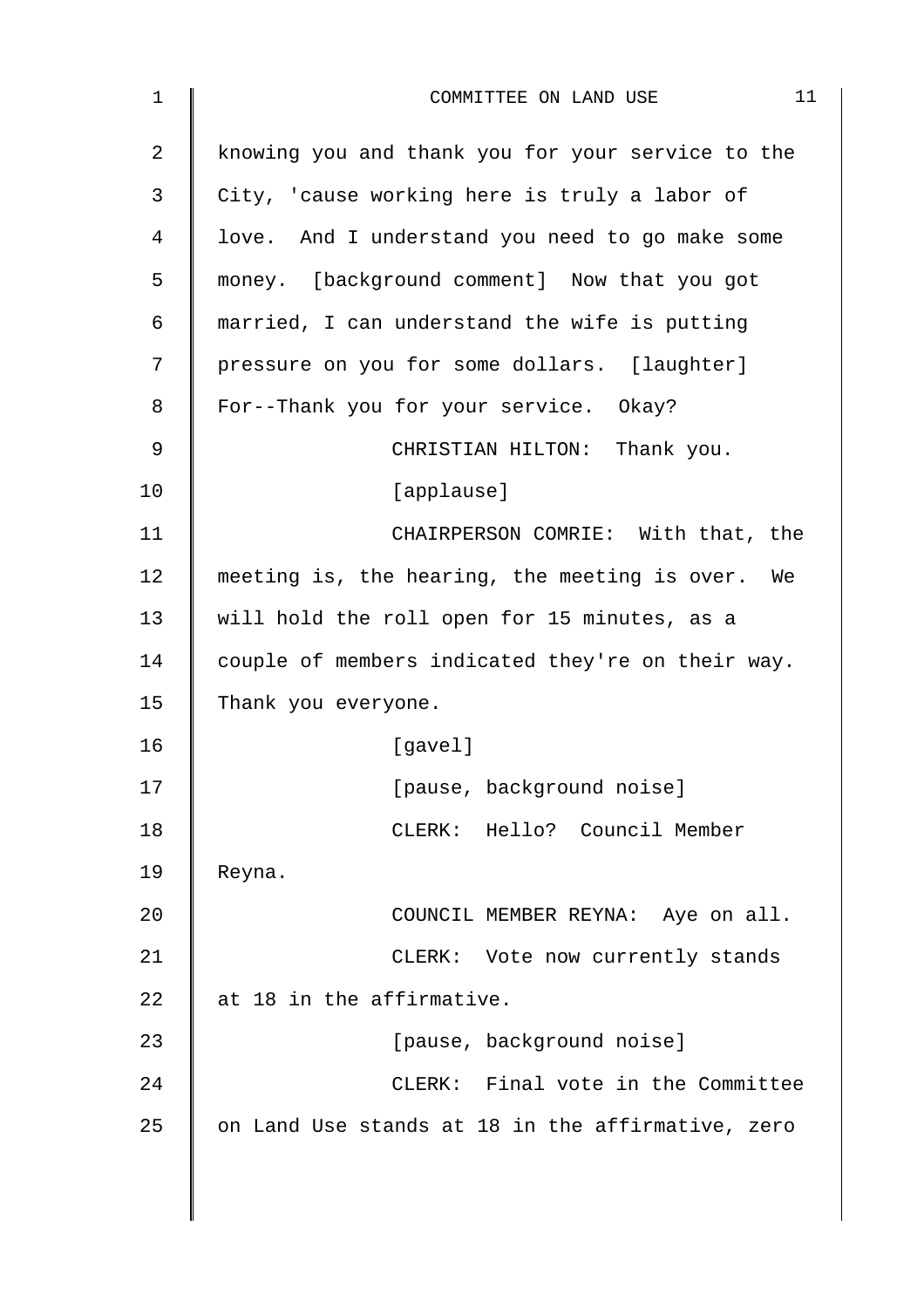| 1              | 11<br>COMMITTEE ON LAND USE                       |
|----------------|---------------------------------------------------|
| $\overline{2}$ | knowing you and thank you for your service to the |
| 3              | City, 'cause working here is truly a labor of     |
| 4              | love. And I understand you need to go make some   |
| 5              | money. [background comment] Now that you got      |
| 6              | married, I can understand the wife is putting     |
| 7              | pressure on you for some dollars. [laughter]      |
| 8              | For--Thank you for your service. Okay?            |
| 9              | CHRISTIAN HILTON: Thank you.                      |
| 10             | [applause]                                        |
| 11             | CHAIRPERSON COMRIE: With that, the                |
| 12             | meeting is, the hearing, the meeting is over. We  |
| 13             | will hold the roll open for 15 minutes, as a      |
| 14             | couple of members indicated they're on their way. |
| 15             | Thank you everyone.                               |
| 16             | [gavel]                                           |
| 17             | [pause, background noise]                         |
| 18             | CLERK: Hello? Council Member                      |
| 19             | Reyna.                                            |
| 20             | COUNCIL MEMBER REYNA: Aye on all.                 |
| 21             | CLERK: Vote now currently stands                  |
| 22             | at 18 in the affirmative.                         |
| 23             | [pause, background noise]                         |
| 24             | CLERK: Final vote in the Committee                |
| 25             | on Land Use stands at 18 in the affirmative, zero |
|                |                                                   |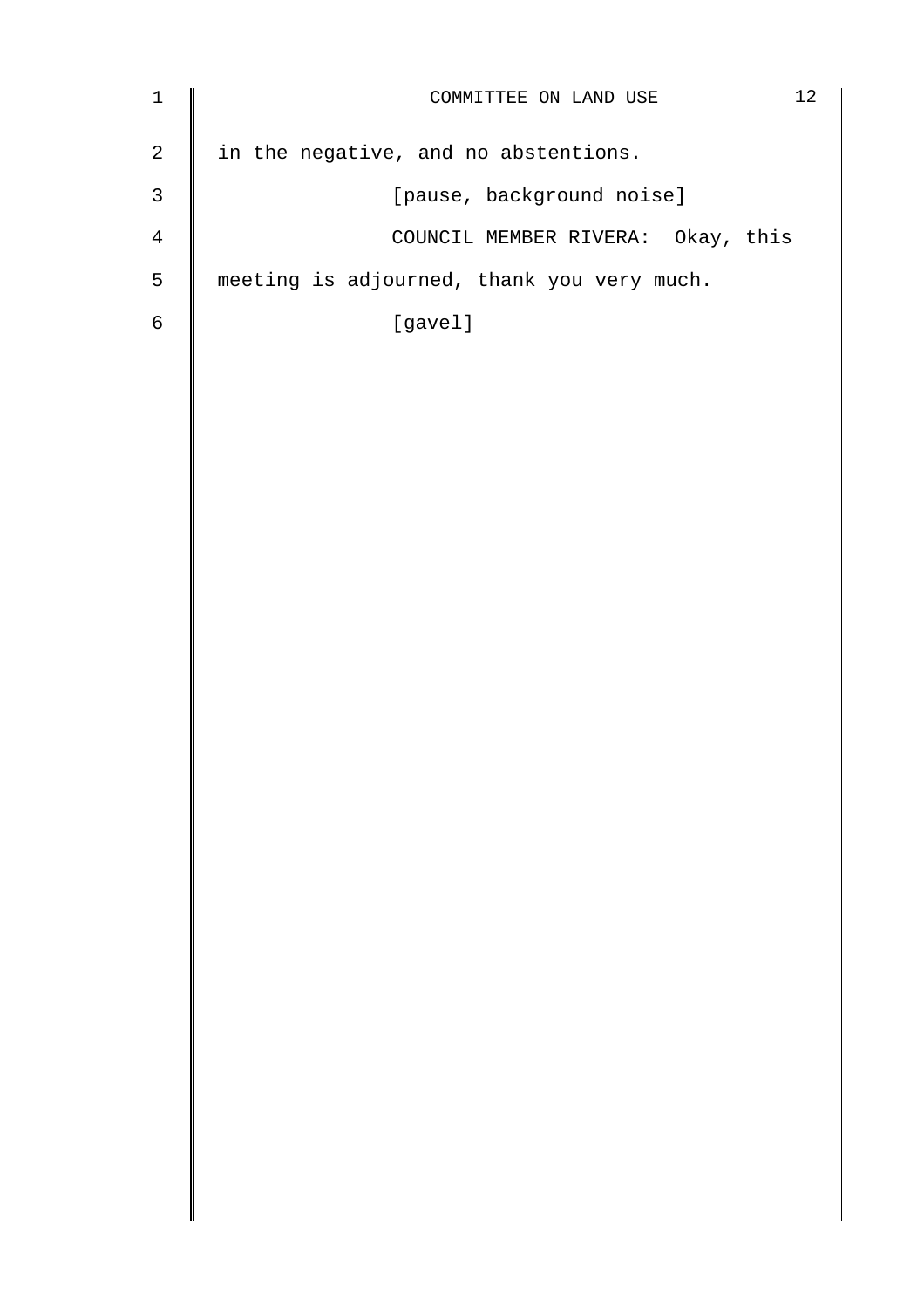| $\mathbf{1}$ | 12<br>COMMITTEE ON LAND USE                |
|--------------|--------------------------------------------|
| 2            | in the negative, and no abstentions.       |
| 3            | [pause, background noise]                  |
| 4            | COUNCIL MEMBER RIVERA: Okay, this          |
| 5            | meeting is adjourned, thank you very much. |
| 6            | [gavel]                                    |
|              |                                            |